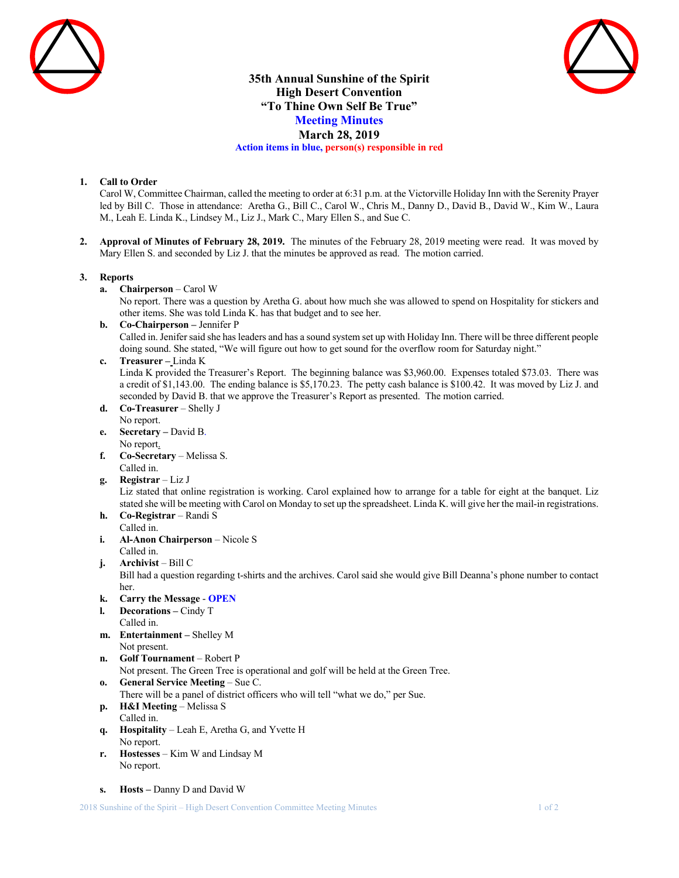



# **35th Annual Sunshine of the Spirit High Desert Convention "To Thine Own Self Be True" Meeting Minutes March 28, 2019 Action items in blue, person(s) responsible in red**

## **1. Call to Order**

Carol W, Committee Chairman, called the meeting to order at 6:31 p.m. at the Victorville Holiday Inn with the Serenity Prayer led by Bill C. Those in attendance: Aretha G., Bill C., Carol W., Chris M., Danny D., David B., David W., Kim W., Laura M., Leah E. Linda K., Lindsey M., Liz J., Mark C., Mary Ellen S., and Sue C.

**2. Approval of Minutes of February 28, 2019.** The minutes of the February 28, 2019 meeting were read. It was moved by Mary Ellen S. and seconded by Liz J. that the minutes be approved as read. The motion carried.

#### **3. Reports**

**a. Chairperson** – Carol W

No report. There was a question by Aretha G. about how much she was allowed to spend on Hospitality for stickers and other items. She was told Linda K. has that budget and to see her.

- **b. Co-Chairperson –** Jennifer P Called in. Jenifer said she has leaders and has a sound system set up with Holiday Inn. There will be three different people doing sound. She stated, "We will figure out how to get sound for the overflow room for Saturday night."
- **c. Treasurer –** Linda K Linda K provided the Treasurer's Report. The beginning balance was \$3,960.00. Expenses totaled \$73.03. There was a credit of \$1,143.00. The ending balance is \$5,170.23. The petty cash balance is \$100.42. It was moved by Liz J. and seconded by David B. that we approve the Treasurer's Report as presented. The motion carried.
- **d. Co-Treasurer**  Shelly J No report.
- **e. Secretary –** David B. No report.
- **f. Co-Secretary** Melissa S. Called in.
- **g. Registrar** Liz J

Liz stated that online registration is working. Carol explained how to arrange for a table for eight at the banquet. Liz stated she will be meeting with Carol on Monday to set up the spreadsheet. Linda K. will give her the mail-in registrations.

- **h. Co-Registrar**  Randi S Called in.
- **i. Al-Anon Chairperson** Nicole S Called in.
- **j. Archivist** Bill C

Bill had a question regarding t-shirts and the archives. Carol said she would give Bill Deanna's phone number to contact her.

- **k. Carry the Message OPEN**
- **l. Decorations –** Cindy T Called in.
- **m. Entertainment –** Shelley M Not present.
- **n. Golf Tournament**  Robert P

Not present. The Green Tree is operational and golf will be held at the Green Tree.

- **o. General Service Meeting** Sue C.
- There will be a panel of district officers who will tell "what we do," per Sue.
- **p. H&I Meeting**  Melissa S Called in.
- **q. Hospitality**  Leah E, Aretha G, and Yvette H No report.
- **r. Hostesses**  Kim W and Lindsay M No report.
- **s. Hosts –** Danny D and David W